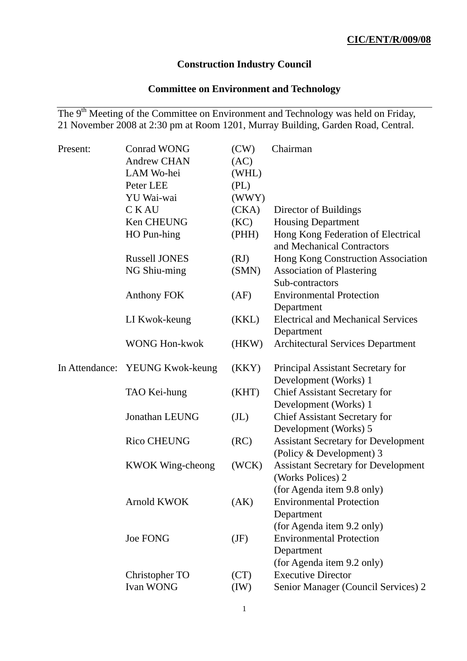### **Construction Industry Council**

# **Committee on Environment and Technology**

The 9<sup>th</sup> Meeting of the Committee on Environment and Technology was held on Friday, 21 November 2008 at 2:30 pm at Room 1201, Murray Building, Garden Road, Central.

| Present: | <b>Conrad WONG</b>              | (CW)              | Chairman                                                         |
|----------|---------------------------------|-------------------|------------------------------------------------------------------|
|          | <b>Andrew CHAN</b>              | (AC)              |                                                                  |
|          | LAM Wo-hei                      | (WHL)             |                                                                  |
|          | Peter LEE                       | (PL)              |                                                                  |
|          | YU Wai-wai                      | (WWY)             |                                                                  |
|          | <b>CKAU</b>                     | (CKA)             | Director of Buildings                                            |
|          | Ken CHEUNG                      | (KC)              | <b>Housing Department</b>                                        |
|          | HO Pun-hing                     | (PHH)             | Hong Kong Federation of Electrical<br>and Mechanical Contractors |
|          | <b>Russell JONES</b>            | (RJ)              | Hong Kong Construction Association                               |
|          | NG Shiu-ming                    | (SMN)             | <b>Association of Plastering</b><br>Sub-contractors              |
|          | <b>Anthony FOK</b>              | (AF)              | <b>Environmental Protection</b><br>Department                    |
|          | LI Kwok-keung                   | (KKL)             | <b>Electrical and Mechanical Services</b>                        |
|          |                                 |                   | Department                                                       |
|          | <b>WONG Hon-kwok</b>            | (HKW)             | <b>Architectural Services Department</b>                         |
|          | In Attendance: YEUNG Kwok-keung | (KKY)             | Principal Assistant Secretary for                                |
|          |                                 |                   | Development (Works) 1                                            |
|          | TAO Kei-hung                    | (KHT)             | <b>Chief Assistant Secretary for</b>                             |
|          |                                 |                   | Development (Works) 1                                            |
|          | <b>Jonathan LEUNG</b>           | (J <sub>L</sub> ) | <b>Chief Assistant Secretary for</b>                             |
|          |                                 |                   | Development (Works) 5                                            |
|          | <b>Rico CHEUNG</b>              | (RC)              | <b>Assistant Secretary for Development</b>                       |
|          |                                 |                   | (Policy & Development) 3                                         |
|          | <b>KWOK Wing-cheong</b>         | (WCK)             | <b>Assistant Secretary for Development</b><br>(Works Polices) 2  |
|          |                                 |                   | (for Agenda item 9.8 only)                                       |
|          | <b>Arnold KWOK</b>              | (AK)              | <b>Environmental Protection</b>                                  |
|          |                                 |                   | Department                                                       |
|          |                                 |                   | (for Agenda item 9.2 only)                                       |
|          | <b>Joe FONG</b>                 | (JF)              | <b>Environmental Protection</b>                                  |
|          |                                 |                   | Department                                                       |
|          |                                 |                   | (for Agenda item 9.2 only)                                       |
|          | Christopher TO                  | (CT)              | <b>Executive Director</b>                                        |
|          | Ivan WONG                       | (IW)              | Senior Manager (Council Services) 2                              |
|          |                                 |                   |                                                                  |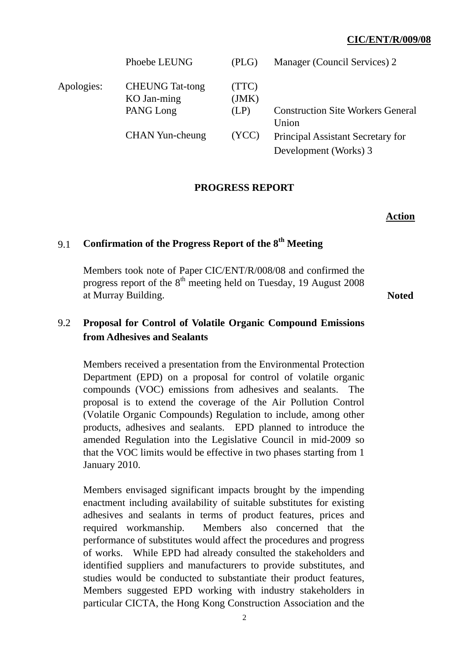|            | Phoebe LEUNG                          | (PLG)          | Manager (Council Services) 2                      |
|------------|---------------------------------------|----------------|---------------------------------------------------|
| Apologies: | <b>CHEUNG</b> Tat-tong<br>KO Jan-ming | (TTC)<br>(JMK) |                                                   |
|            | PANG Long                             | (LP)           | <b>Construction Site Workers General</b><br>Union |
|            | <b>CHAN Yun-cheung</b>                | (YCC)          | Principal Assistant Secretary for                 |
|            |                                       |                | Development (Works) 3                             |

### **PROGRESS REPORT**

#### **Action**

## 9.1 **Confirmation of the Progress Report of the 8th Meeting**

Members took note of Paper CIC/ENT/R/008/08 and confirmed the progress report of the  $8<sup>th</sup>$  meeting held on Tuesday, 19 August 2008 at Murray Building. **Noted** 

## 9.2 **Proposal for Control of Volatile Organic Compound Emissions from Adhesives and Sealants**

Members received a presentation from the Environmental Protection Department (EPD) on a proposal for control of volatile organic compounds (VOC) emissions from adhesives and sealants. The proposal is to extend the coverage of the Air Pollution Control (Volatile Organic Compounds) Regulation to include, among other products, adhesives and sealants. EPD planned to introduce the amended Regulation into the Legislative Council in mid-2009 so that the VOC limits would be effective in two phases starting from 1 January 2010.

Members envisaged significant impacts brought by the impending enactment including availability of suitable substitutes for existing adhesives and sealants in terms of product features, prices and required workmanship. Members also concerned that the performance of substitutes would affect the procedures and progress of works. While EPD had already consulted the stakeholders and identified suppliers and manufacturers to provide substitutes, and studies would be conducted to substantiate their product features, Members suggested EPD working with industry stakeholders in particular CICTA, the Hong Kong Construction Association and the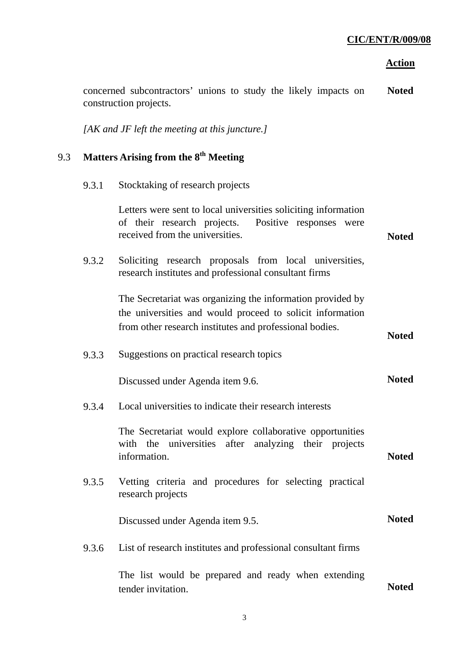**Noted** 

|     |       | construction projects.                                                                                                                                                             |              |
|-----|-------|------------------------------------------------------------------------------------------------------------------------------------------------------------------------------------|--------------|
|     |       | $[AK$ and JF left the meeting at this juncture.]                                                                                                                                   |              |
| 9.3 |       | Matters Arising from the 8 <sup>th</sup> Meeting                                                                                                                                   |              |
|     | 9.3.1 | Stocktaking of research projects                                                                                                                                                   |              |
|     |       | Letters were sent to local universities soliciting information<br>Positive responses were<br>of their research projects.<br>received from the universities.                        | <b>Noted</b> |
|     | 9.3.2 | Soliciting research proposals from local universities,<br>research institutes and professional consultant firms                                                                    |              |
|     |       | The Secretariat was organizing the information provided by<br>the universities and would proceed to solicit information<br>from other research institutes and professional bodies. | <b>Noted</b> |
|     | 9.3.3 | Suggestions on practical research topics                                                                                                                                           |              |
|     |       | Discussed under Agenda item 9.6.                                                                                                                                                   | <b>Noted</b> |
|     | 9.3.4 | Local universities to indicate their research interests                                                                                                                            |              |
|     |       | The Secretariat would explore collaborative opportunities<br>after analyzing their projects<br>universities<br>with the<br>information.                                            | <b>Noted</b> |
|     | 9.3.5 | Vetting criteria and procedures for selecting practical<br>research projects                                                                                                       |              |
|     |       | Discussed under Agenda item 9.5.                                                                                                                                                   | <b>Noted</b> |
|     | 9.3.6 | List of research institutes and professional consultant firms                                                                                                                      |              |
|     |       | The list would be prepared and ready when extending<br>tender invitation.                                                                                                          | <b>Noted</b> |
|     |       |                                                                                                                                                                                    |              |

concerned subcontractors' unions to study the likely impacts on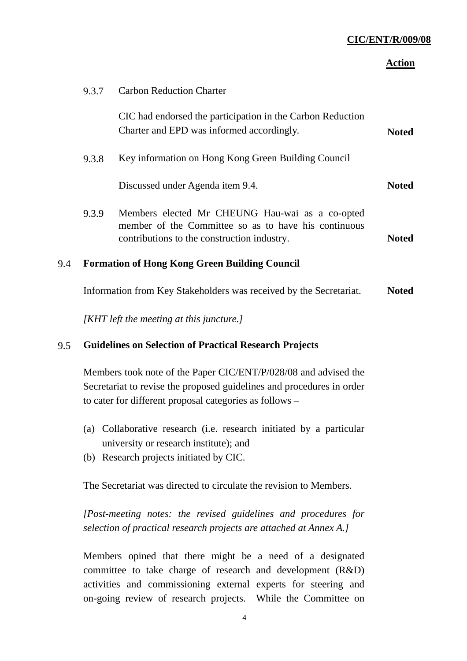#### **Action**

|     | 9.3.7 | <b>Carbon Reduction Charter</b>                                                                                                                        |              |
|-----|-------|--------------------------------------------------------------------------------------------------------------------------------------------------------|--------------|
|     |       | CIC had endorsed the participation in the Carbon Reduction<br>Charter and EPD was informed accordingly.                                                | <b>Noted</b> |
|     | 9.3.8 | Key information on Hong Kong Green Building Council                                                                                                    |              |
|     |       | Discussed under Agenda item 9.4.                                                                                                                       | <b>Noted</b> |
|     | 9.3.9 | Members elected Mr CHEUNG Hau-wai as a co-opted<br>member of the Committee so as to have his continuous<br>contributions to the construction industry. | <b>Noted</b> |
| 9.4 |       | <b>Formation of Hong Kong Green Building Council</b>                                                                                                   |              |
|     |       | Information from Key Stakeholders was received by the Secretariat.                                                                                     | <b>Noted</b> |

*[KHT left the meeting at this juncture.]* 

### 9.5 **Guidelines on Selection of Practical Research Projects**

Members took note of the Paper CIC/ENT/P/028/08 and advised the Secretariat to revise the proposed guidelines and procedures in order to cater for different proposal categories as follows –

- (a) Collaborative research (i.e. research initiated by a particular university or research institute); and
- (b) Research projects initiated by CIC.

The Secretariat was directed to circulate the revision to Members.

*[Post-meeting notes: the revised guidelines and procedures for selection of practical research projects are attached at Annex A.]* 

Members opined that there might be a need of a designated committee to take charge of research and development (R&D) activities and commissioning external experts for steering and on-going review of research projects. While the Committee on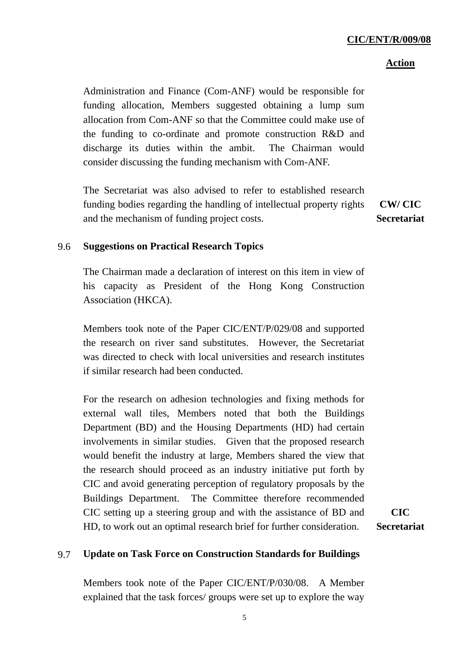#### **Action**

Administration and Finance (Com-ANF) would be responsible for funding allocation, Members suggested obtaining a lump sum allocation from Com-ANF so that the Committee could make use of the funding to co-ordinate and promote construction R&D and discharge its duties within the ambit. The Chairman would consider discussing the funding mechanism with Com-ANF.

The Secretariat was also advised to refer to established research funding bodies regarding the handling of intellectual property rights and the mechanism of funding project costs.

**CW/ CIC Secretariat** 

#### 9.6 **Suggestions on Practical Research Topics**

The Chairman made a declaration of interest on this item in view of his capacity as President of the Hong Kong Construction Association (HKCA).

Members took note of the Paper CIC/ENT/P/029/08 and supported the research on river sand substitutes. However, the Secretariat was directed to check with local universities and research institutes if similar research had been conducted.

For the research on adhesion technologies and fixing methods for external wall tiles, Members noted that both the Buildings Department (BD) and the Housing Departments (HD) had certain involvements in similar studies. Given that the proposed research would benefit the industry at large, Members shared the view that the research should proceed as an industry initiative put forth by CIC and avoid generating perception of regulatory proposals by the Buildings Department. The Committee therefore recommended CIC setting up a steering group and with the assistance of BD and HD, to work out an optimal research brief for further consideration.

**CIC Secretariat** 

#### 9.7 **Update on Task Force on Construction Standards for Buildings**

Members took note of the Paper CIC/ENT/P/030/08. A Member explained that the task forces/ groups were set up to explore the way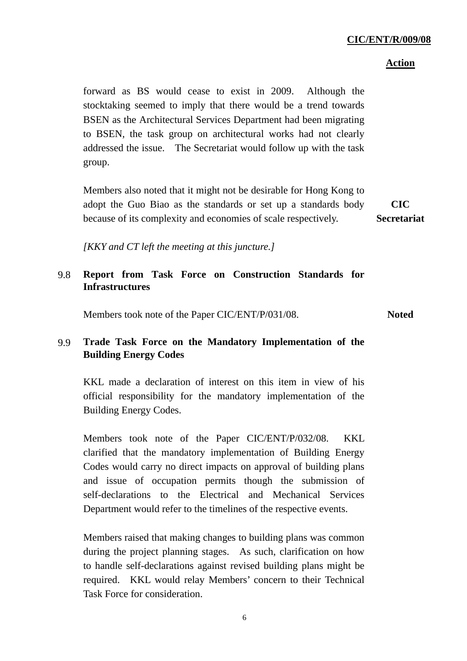#### **Action**

forward as BS would cease to exist in 2009. Although the stocktaking seemed to imply that there would be a trend towards BSEN as the Architectural Services Department had been migrating to BSEN, the task group on architectural works had not clearly addressed the issue. The Secretariat would follow up with the task group.

Members also noted that it might not be desirable for Hong Kong to adopt the Guo Biao as the standards or set up a standards body because of its complexity and economies of scale respectively.

**CIC Secretariat** 

*[KKY and CT left the meeting at this juncture.]* 

## 9.8 **Report from Task Force on Construction Standards for Infrastructures**

Members took note of the Paper CIC/ENT/P/031/08. **Noted** 

## 9.9 **Trade Task Force on the Mandatory Implementation of the Building Energy Codes**

KKL made a declaration of interest on this item in view of his official responsibility for the mandatory implementation of the Building Energy Codes.

Members took note of the Paper CIC/ENT/P/032/08. KKL clarified that the mandatory implementation of Building Energy Codes would carry no direct impacts on approval of building plans and issue of occupation permits though the submission of self-declarations to the Electrical and Mechanical Services Department would refer to the timelines of the respective events.

Members raised that making changes to building plans was common during the project planning stages. As such, clarification on how to handle self-declarations against revised building plans might be required. KKL would relay Members' concern to their Technical Task Force for consideration.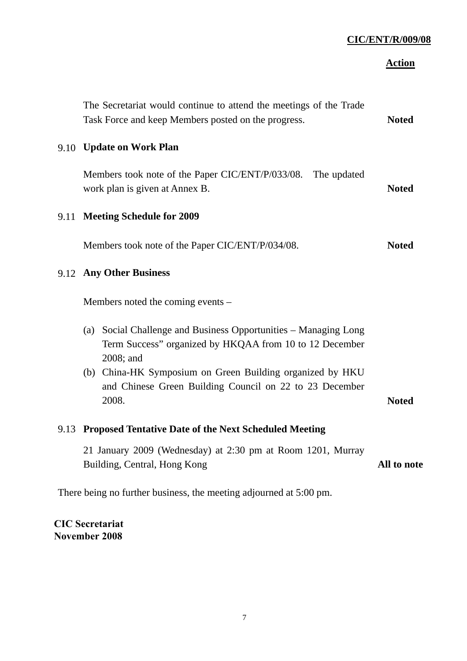## **Action**

|                                                                    | The Secretariat would continue to attend the meetings of the Trade<br>Task Force and keep Members posted on the progress.               | <b>Noted</b> |  |
|--------------------------------------------------------------------|-----------------------------------------------------------------------------------------------------------------------------------------|--------------|--|
|                                                                    | 9.10 Update on Work Plan                                                                                                                |              |  |
|                                                                    | Members took note of the Paper CIC/ENT/P/033/08. The updated<br>work plan is given at Annex B.                                          | <b>Noted</b> |  |
|                                                                    | 9.11 Meeting Schedule for 2009                                                                                                          |              |  |
|                                                                    | Members took note of the Paper CIC/ENT/P/034/08.                                                                                        | <b>Noted</b> |  |
|                                                                    | 9.12 Any Other Business                                                                                                                 |              |  |
|                                                                    | Members noted the coming events –                                                                                                       |              |  |
|                                                                    | (a) Social Challenge and Business Opportunities – Managing Long<br>Term Success" organized by HKQAA from 10 to 12 December<br>2008; and |              |  |
|                                                                    | (b) China-HK Symposium on Green Building organized by HKU<br>and Chinese Green Building Council on 22 to 23 December<br>2008.           | <b>Noted</b> |  |
|                                                                    | 9.13 Proposed Tentative Date of the Next Scheduled Meeting                                                                              |              |  |
|                                                                    | 21 January 2009 (Wednesday) at 2:30 pm at Room 1201, Murray<br>Building, Central, Hong Kong                                             | All to note  |  |
| There being no further business, the meeting adjourned at 5:00 pm. |                                                                                                                                         |              |  |
|                                                                    |                                                                                                                                         |              |  |

**CIC Secretariat November 2008**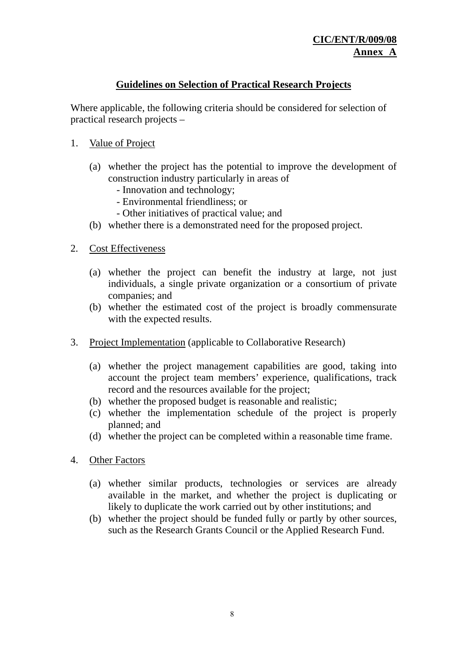## **Guidelines on Selection of Practical Research Projects**

Where applicable, the following criteria should be considered for selection of practical research projects –

- 1. Value of Project
	- (a) whether the project has the potential to improve the development of construction industry particularly in areas of
		- Innovation and technology;
		- Environmental friendliness; or
		- Other initiatives of practical value; and
	- (b) whether there is a demonstrated need for the proposed project.
- 2. Cost Effectiveness
	- (a) whether the project can benefit the industry at large, not just individuals, a single private organization or a consortium of private companies; and
	- (b) whether the estimated cost of the project is broadly commensurate with the expected results.
- 3. Project Implementation (applicable to Collaborative Research)
	- (a) whether the project management capabilities are good, taking into account the project team members' experience, qualifications, track record and the resources available for the project;
	- (b) whether the proposed budget is reasonable and realistic;
	- (c) whether the implementation schedule of the project is properly planned; and
	- (d) whether the project can be completed within a reasonable time frame.
- 4. Other Factors
	- (a) whether similar products, technologies or services are already available in the market, and whether the project is duplicating or likely to duplicate the work carried out by other institutions; and
	- (b) whether the project should be funded fully or partly by other sources, such as the Research Grants Council or the Applied Research Fund.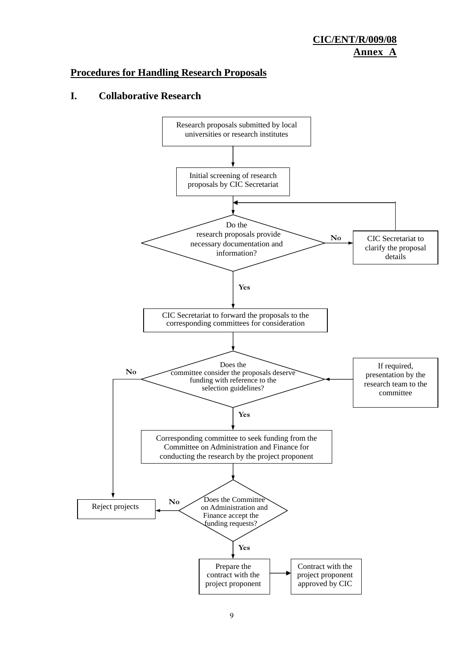## **Procedures for Handling Research Proposals**

### **I. Collaborative Research**